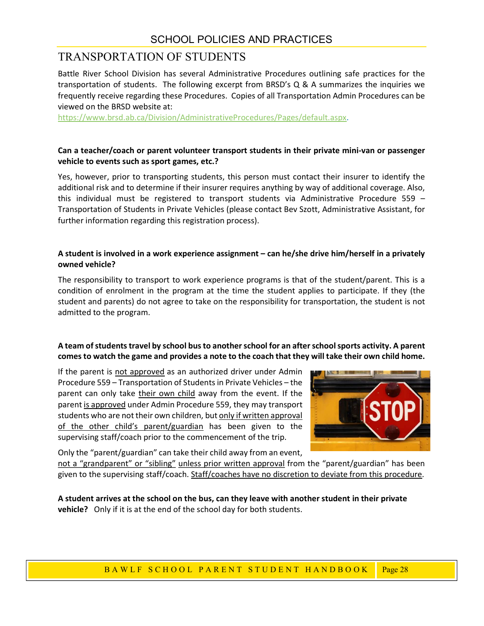## SCHOOL POLICIES AND PRACTICES

# TRANSPORTATION OF STUDENTS

Battle River School Division has several Administrative Procedures outlining safe practices for the transportation of students. The following excerpt from BRSD's Q & A summarizes the inquiries we frequently receive regarding these Procedures. Copies of all Transportation Admin Procedures can be viewed on the BRSD website at:

https://www.brsd.ab.ca/Division/AdministrativeProcedures/Pages/default.aspx.

#### Can a teacher/coach or parent volunteer transport students in their private mini-van or passenger vehicle to events such as sport games, etc.?

Yes, however, prior to transporting students, this person must contact their insurer to identify the additional risk and to determine if their insurer requires anything by way of additional coverage. Also, this individual must be registered to transport students via Administrative Procedure 559 – Transportation of Students in Private Vehicles (please contact Bev Szott, Administrative Assistant, for further information regarding this registration process).

#### A student is involved in a work experience assignment – can he/she drive him/herself in a privately owned vehicle?

The responsibility to transport to work experience programs is that of the student/parent. This is a condition of enrolment in the program at the time the student applies to participate. If they (the student and parents) do not agree to take on the responsibility for transportation, the student is not admitted to the program.

#### A team of students travel by school bus to another school for an after school sports activity. A parent comes to watch the game and provides a note to the coach that they will take their own child home.

is <u>not approved</u> as an authorized driver under Admin<br>
Sigheration of Students in Private Vehicles – the exert<br>
In the their own child away from the event. If the<br>
<u>rowed</u> under Admin Procedure 559, they may transport<br>
or If the parent is not approved as an authorized driver under Admin Procedure 559 – Transportation of Students in Private Vehicles – the parent can only take their own child away from the event. If the parent is approved under Admin Procedure 559, they may transport students who are not their own children, but only if written approval of the other child's parent/guardian has been given to the supervising staff/coach prior to the commencement of the trip.



Only the "parent/guardian" can take their child away from an event,

not a "grandparent" or "sibling" unless prior written approval from the "parent/guardian" has been given to the supervising staff/coach. Staff/coaches have no discretion to deviate from this procedure.

A student arrives at the school on the bus, can they leave with another student in their private vehicle? Only if it is at the end of the school day for both students.